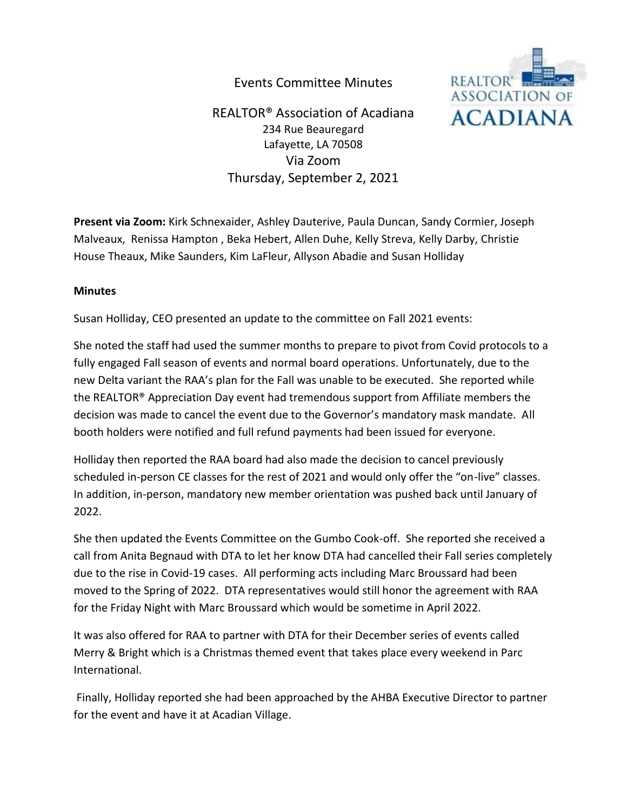## Events Committee Minutes



REALTOR® Association of Acadiana 234 Rue Beauregard Lafayette, LA 70508 Via Zoom Thursday, September 2, 2021

**Present via Zoom:** Kirk Schnexaider, Ashley Dauterive, Paula Duncan, Sandy Cormier, Joseph Malveaux, Renissa Hampton , Beka Hebert, Allen Duhe, Kelly Streva, Kelly Darby, Christie House Theaux, Mike Saunders, Kim LaFleur, Allyson Abadie and Susan Holliday

## **Minutes**

Susan Holliday, CEO presented an update to the committee on Fall 2021 events:

She noted the staff had used the summer months to prepare to pivot from Covid protocols to a fully engaged Fall season of events and normal board operations. Unfortunately, due to the new Delta variant the RAA's plan for the Fall was unable to be executed. She reported while the REALTOR® Appreciation Day event had tremendous support from Affiliate members the decision was made to cancel the event due to the Governor's mandatory mask mandate. All booth holders were notified and full refund payments had been issued for everyone.

Holliday then reported the RAA board had also made the decision to cancel previously scheduled in-person CE classes for the rest of 2021 and would only offer the "on-live" classes. In addition, in-person, mandatory new member orientation was pushed back until January of 2022.

She then updated the Events Committee on the Gumbo Cook-off. She reported she received a call from Anita Begnaud with DTA to let her know DTA had cancelled their Fall series completely due to the rise in Covid-19 cases. All performing acts including Marc Broussard had been moved to the Spring of 2022. DTA representatives would still honor the agreement with RAA for the Friday Night with Marc Broussard which would be sometime in April 2022.

It was also offered for RAA to partner with DTA for their December series of events called Merry & Bright which is a Christmas themed event that takes place every weekend in Parc International.

Finally, Holliday reported she had been approached by the AHBA Executive Director to partner for the event and have it at Acadian Village.